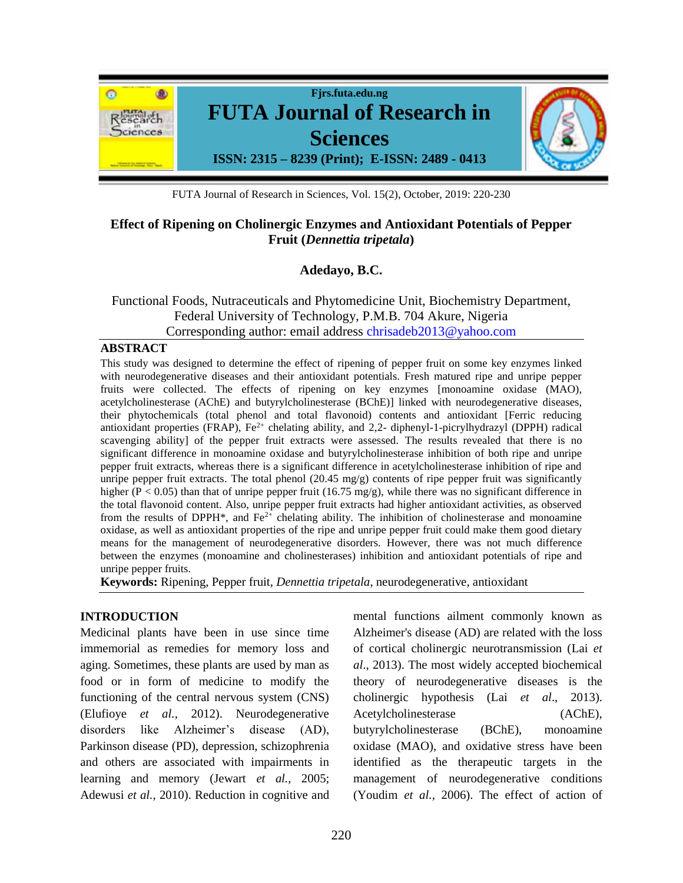

FUTA Journal of Research in Sciences, Vol. 15(2), October, 2019: 220-230

# **Effect of Ripening on Cholinergic Enzymes and Antioxidant Potentials of Pepper Fruit (***Dennettia tripetala***)**

## **Adedayo, B.C.**

## Functional Foods, Nutraceuticals and Phytomedicine Unit, Biochemistry Department, Federal University of Technology, P.M.B. 704 Akure, Nigeria Corresponding author: email address [chrisadeb2013@yahoo.com](mailto:chrisadeb2013@yahoo.com)

### **ABSTRACT**

This study was designed to determine the effect of ripening of pepper fruit on some key enzymes linked with neurodegenerative diseases and their antioxidant potentials. Fresh matured ripe and unripe pepper fruits were collected. The effects of ripening on key enzymes [monoamine oxidase (MAO), acetylcholinesterase (AChE) and butyrylcholinesterase (BChE)] linked with neurodegenerative diseases, their phytochemicals (total phenol and total flavonoid) contents and antioxidant [Ferric reducing antioxidant properties (FRAP),  $Fe<sup>2+</sup>$  chelating ability, and 2,2- diphenyl-1-picrylhydrazyl (DPPH) radical scavenging ability] of the pepper fruit extracts were assessed. The results revealed that there is no significant difference in monoamine oxidase and butyrylcholinesterase inhibition of both ripe and unripe pepper fruit extracts, whereas there is a significant difference in acetylcholinesterase inhibition of ripe and unripe pepper fruit extracts. The total phenol  $(20.45 \text{ mg/g})$  contents of ripe pepper fruit was significantly higher ( $P < 0.05$ ) than that of unripe pepper fruit (16.75 mg/g), while there was no significant difference in the total flavonoid content. Also, unripe pepper fruit extracts had higher antioxidant activities, as observed from the results of DPPH<sup>\*</sup>, and Fe<sup>2+</sup> chelating ability. The inhibition of cholinesterase and monoamine oxidase, as well as antioxidant properties of the ripe and unripe pepper fruit could make them good dietary means for the management of neurodegenerative disorders. However, there was not much difference between the enzymes (monoamine and cholinesterases) inhibition and antioxidant potentials of ripe and unripe pepper fruits.

**Keywords:** Ripening, Pepper fruit, *Dennettia tripetala*, neurodegenerative, antioxidant

## **INTRODUCTION**

Medicinal plants have been in use since time immemorial as remedies for memory loss and aging. Sometimes, these plants are used by man as food or in form of medicine to modify the functioning of the central nervous system (CNS) (Elufioye *et al.,* 2012). Neurodegenerative disorders like Alzheimer's disease (AD), Parkinson disease (PD), depression, schizophrenia and others are associated with impairments in learning and memory (Jewart *et al.,* 2005; Adewusi *et al.,* 2010). Reduction in cognitive and mental functions ailment commonly known as Alzheimer's disease (AD) are related with the loss of cortical cholinergic neurotransmission (Lai *et al*., 2013). The most widely accepted biochemical theory of neurodegenerative diseases is the cholinergic hypothesis (Lai *et al*., 2013). Acetylcholinesterase (AChE), butyrylcholinesterase (BChE), monoamine oxidase (MAO), and oxidative stress have been identified as the therapeutic targets in the management of neurodegenerative conditions (Youdim *et al.,* 2006). The effect of action of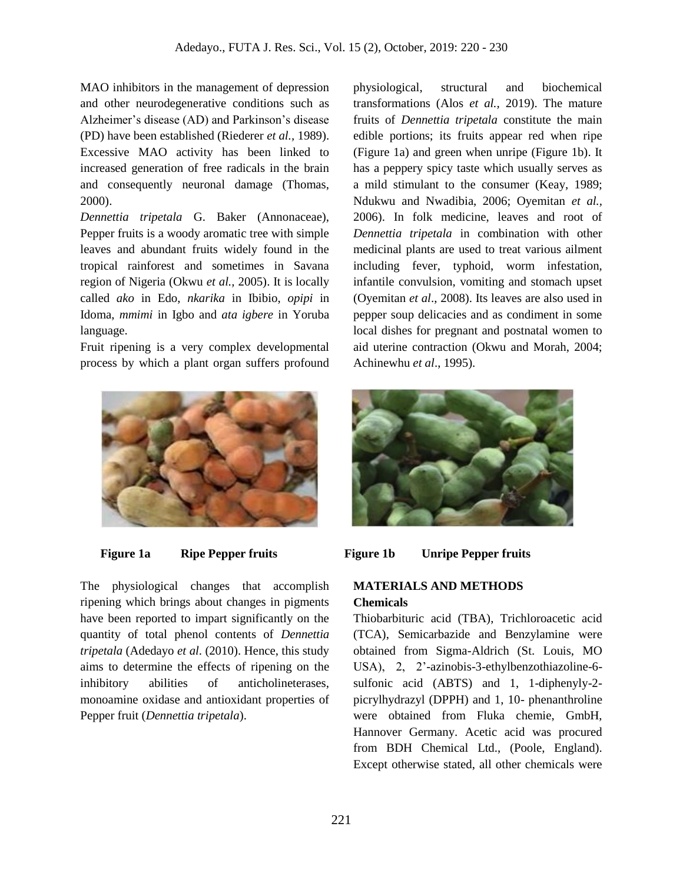MAO inhibitors in the management of depression and other neurodegenerative conditions such as Alzheimer's disease (AD) and Parkinson's disease (PD) have been established (Riederer *et al.,* 1989). Excessive MAO activity has been linked to increased generation of free radicals in the brain and consequently neuronal damage (Thomas, 2000).

*Dennettia tripetala* G. Baker (Annonaceae), Pepper fruits is a woody aromatic tree with simple leaves and abundant fruits widely found in the tropical rainforest and sometimes in Savana region of Nigeria (Okwu *et al.,* 2005). It is locally called *ako* in Edo, *nkarika* in Ibibio, *opipi* in Idoma, *mmimi* in Igbo and *ata igbere* in Yoruba language.

Fruit ripening is a very complex developmental process by which a plant organ suffers profound



The physiological changes that accomplish ripening which brings about changes in pigments have been reported to impart significantly on the quantity of total phenol contents of *Dennettia tripetala* (Adedayo *et al*. (2010). Hence, this study aims to determine the effects of ripening on the inhibitory abilities of anticholineterases, monoamine oxidase and antioxidant properties of Pepper fruit (*Dennettia tripetala*).

physiological, structural and biochemical transformations (Alos *et al.,* 2019). The mature fruits of *Dennettia tripetala* constitute the main edible portions; its fruits appear red when ripe (Figure 1a) and green when unripe (Figure 1b). It has a peppery spicy taste which usually serves as a mild stimulant to the consumer (Keay, 1989; Ndukwu and Nwadibia, 2006; Oyemitan *et al.,*  2006). In folk medicine, leaves and root of *Dennettia tripetala* in combination with other medicinal plants are used to treat various ailment including fever, typhoid, worm infestation, infantile convulsion, vomiting and stomach upset (Oyemitan *et al*., 2008). Its leaves are also used in pepper soup delicacies and as condiment in some local dishes for pregnant and postnatal women to aid uterine contraction (Okwu and Morah, 2004; Achinewhu *et al*., 1995).





# **MATERIALS AND METHODS Chemicals**

Thiobarbituric acid (TBA), Trichloroacetic acid (TCA), Semicarbazide and Benzylamine were obtained from Sigma-Aldrich (St. Louis, MO USA), 2, 2'-azinobis-3-ethylbenzothiazoline-6 sulfonic acid (ABTS) and 1, 1-diphenyly-2 picrylhydrazyl (DPPH) and 1, 10- phenanthroline were obtained from Fluka chemie, GmbH, Hannover Germany. Acetic acid was procured from BDH Chemical Ltd., (Poole, England). Except otherwise stated, all other chemicals were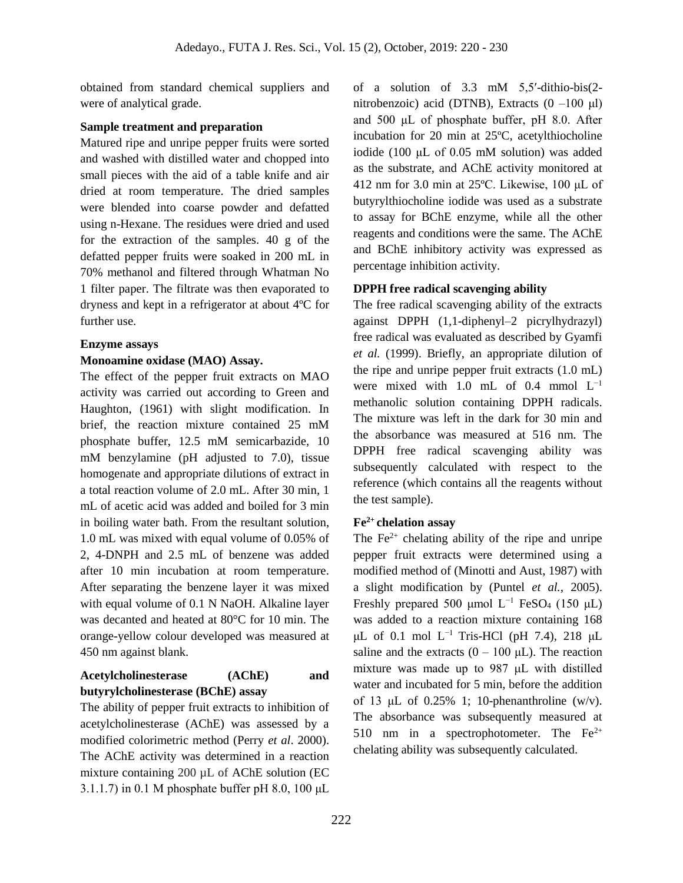obtained from standard chemical suppliers and were of analytical grade.

### **Sample treatment and preparation**

Matured ripe and unripe pepper fruits were sorted and washed with distilled water and chopped into small pieces with the aid of a table knife and air dried at room temperature. The dried samples were blended into coarse powder and defatted using n-Hexane. The residues were dried and used for the extraction of the samples. 40 g of the defatted pepper fruits were soaked in 200 mL in 70% methanol and filtered through Whatman No 1 filter paper. The filtrate was then evaporated to dryness and kept in a refrigerator at about 4ºC for further use.

### **Enzyme assays**

### **Monoamine oxidase (MAO) Assay.**

The effect of the pepper fruit extracts on MAO activity was carried out according to Green and Haughton, (1961) with slight modification. In brief, the reaction mixture contained 25 mM phosphate buffer, 12.5 mM semicarbazide, 10 mM benzylamine (pH adjusted to 7.0), tissue homogenate and appropriate dilutions of extract in a total reaction volume of 2.0 mL. After 30 min, 1 mL of acetic acid was added and boiled for 3 min in boiling water bath. From the resultant solution, 1.0 mL was mixed with equal volume of 0.05% of 2, 4-DNPH and 2.5 mL of benzene was added after 10 min incubation at room temperature. After separating the benzene layer it was mixed with equal volume of 0.1 N NaOH. Alkaline layer was decanted and heated at 80°C for 10 min. The orange-yellow colour developed was measured at 450 nm against blank.

# **Acetylcholinesterase (AChE) and butyrylcholinesterase (BChE) assay**

The ability of pepper fruit extracts to inhibition of acetylcholinesterase (AChE) was assessed by a modified colorimetric method (Perry *et al*. 2000). The AChE activity was determined in a reaction mixture containing 200 µL of AChE solution (EC 3.1.1.7) in 0.1 M phosphate buffer pH 8.0, 100 μL of a solution of 3.3 mM 5,5′-dithio-bis(2 nitrobenzoic) acid (DTNB), Extracts  $(0 -100 \mu l)$ and 500 μL of phosphate buffer, pH 8.0. After incubation for 20 min at 25ºC, acetylthiocholine iodide (100 μL of 0.05 mM solution) was added as the substrate, and AChE activity monitored at 412 nm for 3.0 min at 25ºC. Likewise, 100 μL of butyrylthiocholine iodide was used as a substrate to assay for BChE enzyme, while all the other reagents and conditions were the same. The AChE and BChE inhibitory activity was expressed as percentage inhibition activity.

## **DPPH free radical scavenging ability**

The free radical scavenging ability of the extracts against DPPH (1,1-diphenyl–2 picrylhydrazyl) free radical was evaluated as described by Gyamfi *et al.* (1999). Briefly, an appropriate dilution of the ripe and unripe pepper fruit extracts (1.0 mL) were mixed with 1.0 mL of 0.4 mmol  $L^{-1}$ methanolic solution containing DPPH radicals. The mixture was left in the dark for 30 min and the absorbance was measured at 516 nm. The DPPH free radical scavenging ability was subsequently calculated with respect to the reference (which contains all the reagents without the test sample).

## **Fe2+ chelation assay**

The  $Fe<sup>2+</sup>$  chelating ability of the ripe and unripe pepper fruit extracts were determined using a modified method of (Minotti and Aust, 1987) with a slight modification by (Puntel *et al.,* 2005). Freshly prepared 500 μmol  $L^{-1}$  FeSO<sub>4</sub> (150 μL) was added to a reaction mixture containing 168  $μL$  of 0.1 mol  $L^{-1}$  Tris-HCl (pH 7.4), 218  $μL$ saline and the extracts  $(0 - 100 \mu L)$ . The reaction mixture was made up to 987 μL with distilled water and incubated for 5 min, before the addition of 13  $\mu$ L of 0.25% 1; 10-phenanthroline (w/v). The absorbance was subsequently measured at 510 nm in a spectrophotometer. The  $Fe^{2+}$ chelating ability was subsequently calculated.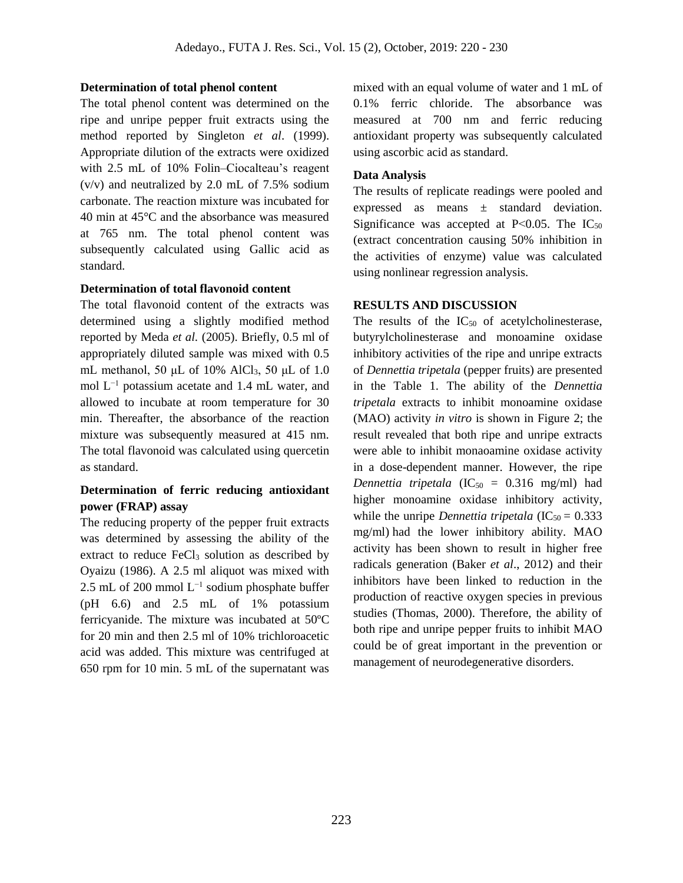#### **Determination of total phenol content**

The total phenol content was determined on the ripe and unripe pepper fruit extracts using the method reported by Singleton *et al*. (1999). Appropriate dilution of the extracts were oxidized with 2.5 mL of 10% Folin–Ciocalteau's reagent (v/v) and neutralized by 2.0 mL of 7.5% sodium carbonate. The reaction mixture was incubated for 40 min at 45°C and the absorbance was measured at 765 nm. The total phenol content was subsequently calculated using Gallic acid as standard.

#### **Determination of total flavonoid content**

The total flavonoid content of the extracts was determined using a slightly modified method reported by Meda *et al.* (2005). Briefly, 0.5 ml of appropriately diluted sample was mixed with 0.5 mL methanol, 50  $\mu$ L of 10% AlCl<sub>3</sub>, 50  $\mu$ L of 1.0 mol L−1 potassium acetate and 1.4 mL water, and allowed to incubate at room temperature for 30 min. Thereafter, the absorbance of the reaction mixture was subsequently measured at 415 nm. The total flavonoid was calculated using quercetin as standard.

## **Determination of ferric reducing antioxidant power (FRAP) assay**

The reducing property of the pepper fruit extracts was determined by assessing the ability of the extract to reduce FeCl<sub>3</sub> solution as described by Oyaizu (1986). A 2.5 ml aliquot was mixed with 2.5 mL of 200 mmol  $L^{-1}$  sodium phosphate buffer (pH 6.6) and 2.5 mL of 1% potassium ferricyanide. The mixture was incubated at 50ºC for 20 min and then 2.5 ml of 10% trichloroacetic acid was added. This mixture was centrifuged at 650 rpm for 10 min. 5 mL of the supernatant was mixed with an equal volume of water and 1 mL of 0.1% ferric chloride. The absorbance was measured at 700 nm and ferric reducing antioxidant property was subsequently calculated using ascorbic acid as standard.

#### **Data Analysis**

The results of replicate readings were pooled and expressed as means ± standard deviation. Significance was accepted at P $< 0.05$ . The IC<sub>50</sub> (extract concentration causing 50% inhibition in the activities of enzyme) value was calculated using nonlinear regression analysis.

### **RESULTS AND DISCUSSION**

The results of the  $IC_{50}$  of acetylcholinesterase, butyrylcholinesterase and monoamine oxidase inhibitory activities of the ripe and unripe extracts of *Dennettia tripetala* (pepper fruits) are presented in the Table 1. The ability of the *Dennettia tripetala* extracts to inhibit monoamine oxidase (MAO) activity *in vitro* is shown in Figure 2; the result revealed that both ripe and unripe extracts were able to inhibit monaoamine oxidase activity in a dose-dependent manner. However, the ripe *Dennettia tripetala* ( $IC_{50} = 0.316$  mg/ml) had higher monoamine oxidase inhibitory activity, while the unripe *Dennettia tripetala*  $(IC_{50} = 0.333)$ mg/ml) had the lower inhibitory ability. MAO activity has been shown to result in higher free radicals generation (Baker *et al*., 2012) and their inhibitors have been linked to reduction in the production of reactive oxygen species in previous studies (Thomas, 2000). Therefore, the ability of both ripe and unripe pepper fruits to inhibit MAO could be of great important in the prevention or management of neurodegenerative disorders.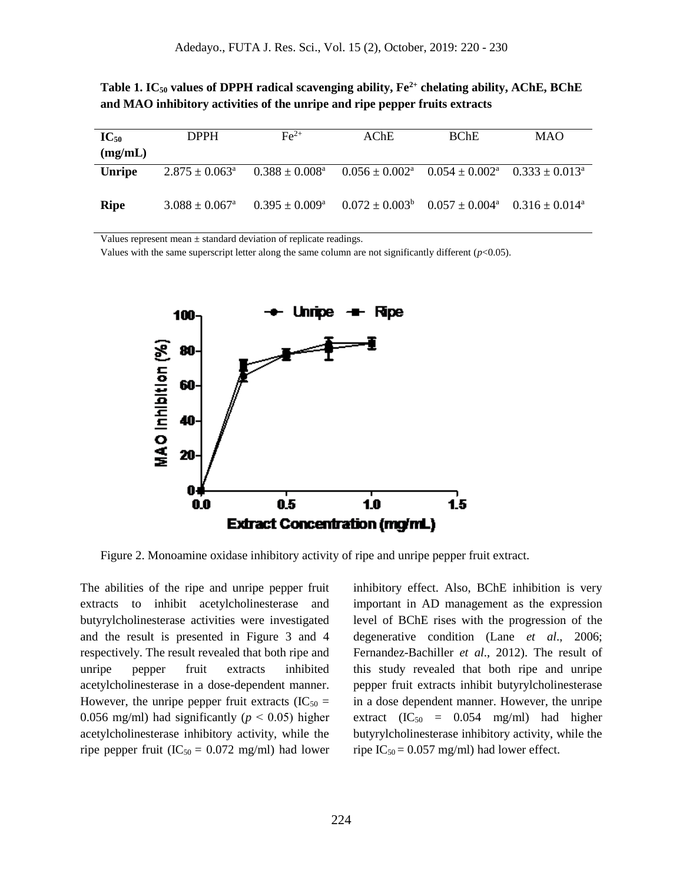|                                                                             |  | Table 1. IC <sub>50</sub> values of DPPH radical scavenging ability, $Fe^{2+}$ chelating ability, AChE, BChE |  |
|-----------------------------------------------------------------------------|--|--------------------------------------------------------------------------------------------------------------|--|
| and MAO inhibitory activities of the unripe and ripe pepper fruits extracts |  |                                                                                                              |  |

| $IC_{50}$     | <b>DPPH</b>                    | $\rm Fe^{2+}$                | AChE                                                                                   | <b>BChE</b> | <b>MAO</b> |
|---------------|--------------------------------|------------------------------|----------------------------------------------------------------------------------------|-------------|------------|
| (mg/mL)       |                                |                              |                                                                                        |             |            |
| <b>Unripe</b> | $2.875 \pm 0.063$ <sup>a</sup> | $0.388\pm0.008^{\mathrm{a}}$ | $0.056 \pm 0.002^{\text{a}}$ $0.054 \pm 0.002^{\text{a}}$ $0.333 \pm 0.013^{\text{a}}$ |             |            |
| <b>Ripe</b>   | $3.088 \pm 0.067$ <sup>a</sup> | $0.395 \pm 0.009^{\rm a}$    | $0.072 \pm 0.003^b$ $0.057 \pm 0.004^a$ $0.316 \pm 0.014^a$                            |             |            |
|               |                                |                              |                                                                                        |             |            |

Values represent mean  $\pm$  standard deviation of replicate readings.

Values with the same superscript letter along the same column are not significantly different (*p*<0.05).



Figure 2. Monoamine oxidase inhibitory activity of ripe and unripe pepper fruit extract.

The abilities of the ripe and unripe pepper fruit extracts to inhibit acetylcholinesterase and butyrylcholinesterase activities were investigated and the result is presented in Figure 3 and 4 respectively. The result revealed that both ripe and unripe pepper fruit extracts inhibited acetylcholinesterase in a dose-dependent manner. However, the unripe pepper fruit extracts  $(IC_{50} =$ 0.056 mg/ml) had significantly ( $p < 0.05$ ) higher acetylcholinesterase inhibitory activity, while the ripe pepper fruit ( $IC_{50} = 0.072$  mg/ml) had lower inhibitory effect. Also, BChE inhibition is very important in AD management as the expression level of BChE rises with the progression of the degenerative condition (Lane *et al*., 2006; Fernandez-Bachiller *et al*., 2012). The result of this study revealed that both ripe and unripe pepper fruit extracts inhibit butyrylcholinesterase in a dose dependent manner. However, the unripe extract  $(IC_{50} = 0.054 \text{ mg/ml})$  had higher butyrylcholinesterase inhibitory activity, while the ripe  $IC_{50} = 0.057$  mg/ml) had lower effect.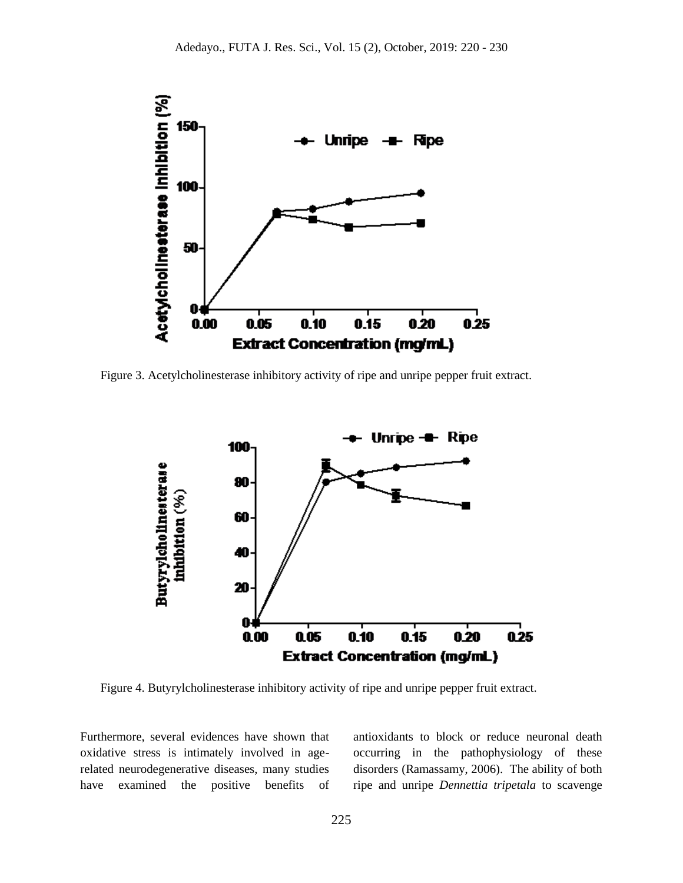

Figure 3. Acetylcholinesterase inhibitory activity of ripe and unripe pepper fruit extract.



Figure 4. Butyrylcholinesterase inhibitory activity of ripe and unripe pepper fruit extract.

Furthermore, several evidences have shown that oxidative stress is intimately involved in agerelated neurodegenerative diseases, many studies have examined the positive benefits of antioxidants to block or reduce neuronal death occurring in the pathophysiology of these disorders (Ramassamy, 2006). The ability of both ripe and unripe *Dennettia tripetala* to scavenge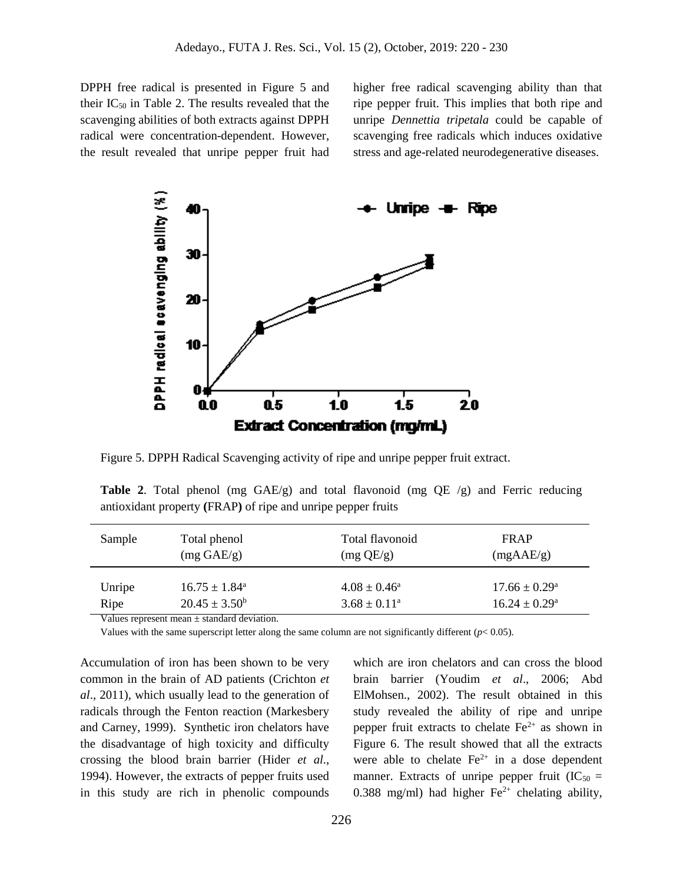DPPH free radical is presented in Figure 5 and their  $IC_{50}$  in Table 2. The results revealed that the scavenging abilities of both extracts against DPPH radical were concentration-dependent. However, the result revealed that unripe pepper fruit had higher free radical scavenging ability than that ripe pepper fruit. This implies that both ripe and unripe *Dennettia tripetala* could be capable of scavenging free radicals which induces oxidative stress and age-related neurodegenerative diseases.



Figure 5. DPPH Radical Scavenging activity of ripe and unripe pepper fruit extract.

**Table 2**. Total phenol (mg GAE/g) and total flavonoid (mg QE /g) and Ferric reducing antioxidant property **(**FRAP**)** of ripe and unripe pepper fruits

| Sample         | Total phenol                                                                                        | Total flavonoid                                    | <b>FRAP</b>                                          |
|----------------|-----------------------------------------------------------------------------------------------------|----------------------------------------------------|------------------------------------------------------|
|                | $(mg \text{ GAE/g})$                                                                                | (mg QE/g)                                          | (mgAAE/g)                                            |
| Unripe<br>Ripe | $16.75 \pm 1.84^{\circ}$<br>$20.45 \pm 3.50^b$<br>Molece accuracy to can include the deal developed | $4.08 \pm 0.46^{\circ}$<br>$3.68 \pm 0.11^{\circ}$ | $17.66 \pm 0.29^{\circ}$<br>$16.24 \pm 0.29^{\circ}$ |

Values represent mean ± standard deviation.

Values with the same superscript letter along the same column are not significantly different  $(p< 0.05)$ .

Accumulation of iron has been shown to be very common in the brain of AD patients (Crichton *et al*., 2011), which usually lead to the generation of radicals through the Fenton reaction (Markesbery and Carney, 1999). Synthetic iron chelators have the disadvantage of high toxicity and difficulty crossing the blood brain barrier (Hider *et al*., 1994). However, the extracts of pepper fruits used in this study are rich in phenolic compounds

which are iron chelators and can cross the blood brain barrier (Youdim *et al*., 2006; Abd ElMohsen., 2002). The result obtained in this study revealed the ability of ripe and unripe pepper fruit extracts to chelate  $Fe^{2+}$  as shown in Figure 6. The result showed that all the extracts were able to chelate  $Fe^{2+}$  in a dose dependent manner. Extracts of unripe pepper fruit  $(IC_{50} =$ 0.388 mg/ml) had higher  $Fe^{2+}$  chelating ability,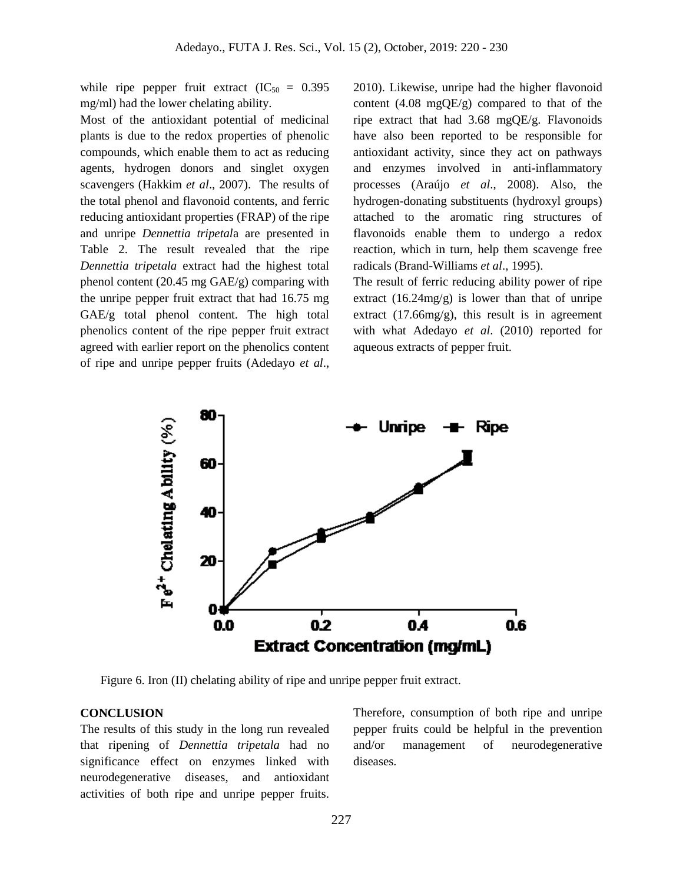while ripe pepper fruit extract  $(IC_{50} = 0.395)$ mg/ml) had the lower chelating ability.

Most of the antioxidant potential of medicinal plants is due to the redox properties of phenolic compounds, which enable them to act as reducing agents, hydrogen donors and singlet oxygen scavengers (Hakkim *et al*., 2007). The results of the total phenol and flavonoid contents, and ferric reducing antioxidant properties (FRAP) of the ripe and unripe *Dennettia tripetal*a are presented in Table 2. The result revealed that the ripe *Dennettia tripetala* extract had the highest total phenol content (20.45 mg GAE/g) comparing with the unripe pepper fruit extract that had 16.75 mg GAE/g total phenol content. The high total phenolics content of the ripe pepper fruit extract agreed with earlier report on the phenolics content of ripe and unripe pepper fruits (Adedayo *et al*., 2010). Likewise, unripe had the higher flavonoid content (4.08 mgQE/g) compared to that of the ripe extract that had 3.68 mgQE/g. Flavonoids have also been reported to be responsible for antioxidant activity, since they act on pathways and enzymes involved in anti-inflammatory processes (Araújo *et al*., 2008). Also, the hydrogen-donating substituents (hydroxyl groups) attached to the aromatic ring structures of flavonoids enable them to undergo a redox reaction, which in turn, help them scavenge free radicals (Brand-Williams *et al*., 1995).

The result of ferric reducing ability power of ripe extract  $(16.24mg/g)$  is lower than that of unripe extract  $(17.66mg/g)$ , this result is in agreement with what Adedayo *et al*. (2010) reported for aqueous extracts of pepper fruit.



Figure 6. Iron (II) chelating ability of ripe and unripe pepper fruit extract.

#### **CONCLUSION**

The results of this study in the long run revealed that ripening of *Dennettia tripetala* had no significance effect on enzymes linked with neurodegenerative diseases, and antioxidant activities of both ripe and unripe pepper fruits.

Therefore, consumption of both ripe and unripe pepper fruits could be helpful in the prevention and/or management of neurodegenerative diseases.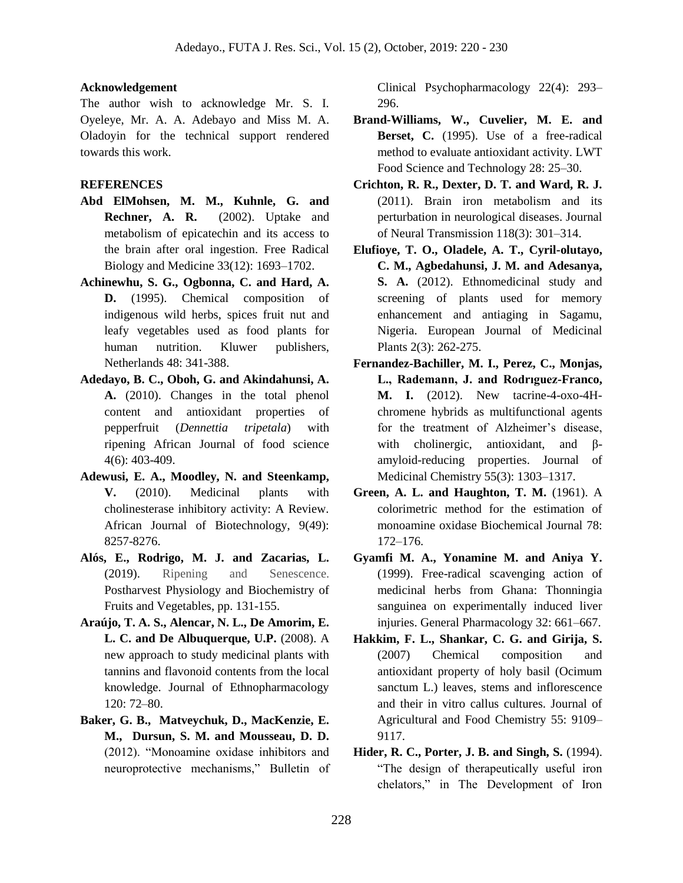#### **Acknowledgement**

The author wish to acknowledge Mr. S. I. Oyeleye, Mr. A. A. Adebayo and Miss M. A. Oladoyin for the technical support rendered towards this work.

#### **REFERENCES**

- **Abd ElMohsen, M. M., Kuhnle, G. and Rechner, A. R.** (2002). Uptake and metabolism of epicatechin and its access to the brain after oral ingestion. Free Radical Biology and Medicine 33(12): 1693–1702.
- **Achinewhu, S. G., Ogbonna, C. and Hard, A. D.** (1995). Chemical composition of indigenous wild herbs, spices fruit nut and leafy vegetables used as food plants for human nutrition. Kluwer publishers, Netherlands 48: 341-388.
- **Adedayo, B. C., Oboh, G. and Akindahunsi, A. A.** (2010). Changes in the total phenol content and antioxidant properties of pepperfruit (*Dennettia tripetala*) with ripening African Journal of food science 4(6): 403-409.
- **Adewusi, E. A., Moodley, N. and Steenkamp, V.** (2010). Medicinal plants with cholinesterase inhibitory activity: A Review. African Journal of Biotechnology, 9(49): 8257-8276.
- **Alós, E., Rodrigo, M. J. and Zacarias, L.**  (2019). Ripening and Senescence. Postharvest Physiology and Biochemistry of Fruits and Vegetables, pp. 131-155.
- **Araújo, T. A. S., Alencar, N. L., De Amorim, E. L. C. and De Albuquerque, U.P.** (2008). A new approach to study medicinal plants with tannins and flavonoid contents from the local knowledge. Journal of Ethnopharmacology 120: 72–80.
- **Baker, G. B., Matveychuk, D., MacKenzie, E. M., Dursun, S. M. and Mousseau, D. D.**  (2012). "Monoamine oxidase inhibitors and neuroprotective mechanisms," Bulletin of

Clinical Psychopharmacology 22(4): 293– 296.

- **Brand-Williams, W., Cuvelier, M. E. and Berset, C.** (1995). Use of a free-radical method to evaluate antioxidant activity. LWT Food Science and Technology 28: 25–30.
- **Crichton, R. R., Dexter, D. T. and Ward, R. J.** (2011). Brain iron metabolism and its perturbation in neurological diseases. Journal of Neural Transmission 118(3): 301–314.
- **Elufioye, T. O., Oladele, A. T., Cyril-olutayo, C. M., Agbedahunsi, J. M. and Adesanya, S. A.** (2012). Ethnomedicinal study and screening of plants used for memory enhancement and antiaging in Sagamu, Nigeria. European Journal of Medicinal Plants 2(3): 262-275.
- **Fernandez-Bachiller, M. I., Perez, C., Monjas, L., Rademann, J. and Rodrıguez-Franco, M. I.** (2012). New tacrine-4-oxo-4Hchromene hybrids as multifunctional agents for the treatment of Alzheimer's disease, with cholinergic, antioxidant, and βamyloid-reducing properties. Journal of Medicinal Chemistry 55(3): 1303–1317.
- **Green, A. L. and Haughton, T. M.** (1961). A colorimetric method for the estimation of monoamine oxidase Biochemical Journal 78: 172–176.
- **Gyamfi M. A., Yonamine M. and Aniya Y.** (1999). Free-radical scavenging action of medicinal herbs from Ghana: Thonningia sanguinea on experimentally induced liver injuries. General Pharmacology 32: 661–667.
- **Hakkim, F. L., Shankar, C. G. and Girija, S.** (2007) Chemical composition and antioxidant property of holy basil (Ocimum sanctum L.) leaves, stems and inflorescence and their in vitro callus cultures. Journal of Agricultural and Food Chemistry 55: 9109– 9117.
- **Hider, R. C., Porter, J. B. and Singh, S.** (1994). "The design of therapeutically useful iron chelators," in The Development of Iron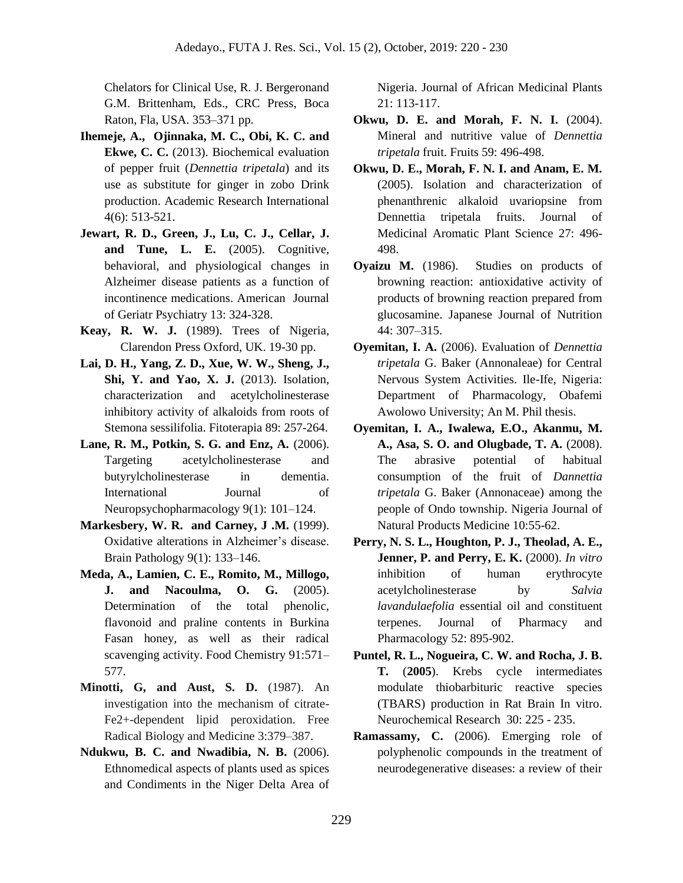Chelators for Clinical Use, R. J. Bergeronand G.M. Brittenham, Eds., CRC Press, Boca Raton, Fla, USA. 353–371 pp.

- **Ihemeje, A., Ojinnaka, M. C., Obi, K. C. and Ekwe, C. C.** (2013). Biochemical evaluation of pepper fruit (*Dennettia tripetala*) and its use as substitute for ginger in zobo Drink production. Academic Research International 4(6): 513-521.
- **Jewart, R. D., Green, J., Lu, C. J., Cellar, J. and Tune, L. E.** (2005). Cognitive, behavioral, and physiological changes in Alzheimer disease patients as a function of incontinence medications. American Journal of Geriatr Psychiatry 13: 324-328.
- **Keay, R. W. J.** (1989). Trees of Nigeria*,*  Clarendon Press Oxford, UK. 19-30 pp.
- **Lai, D. H., Yang, Z. D., Xue, W. W., Sheng, J., Shi, Y. and Yao, X. J.** (2013). Isolation, characterization and acetylcholinesterase inhibitory activity of alkaloids from roots of Stemona sessilifolia. Fitoterapia 89: 257-264.
- **Lane, R. M., Potkin, S. G. and Enz, A.** (2006). Targeting acetylcholinesterase and butyrylcholinesterase in dementia. International Journal of Neuropsychopharmacology 9(1): 101–124.
- **Markesbery, W. R. and Carney, J .M.** (1999). Oxidative alterations in Alzheimer's disease. Brain Pathology 9(1): 133–146.
- **Meda, A., Lamien, C. E., Romito, M., Millogo, J. and Nacoulma, O. G.** (2005). Determination of the total phenolic, flavonoid and praline contents in Burkina Fasan honey, as well as their radical scavenging activity. Food Chemistry 91:571– 577.
- **Minotti, G, and Aust, S. D.** (1987). An investigation into the mechanism of citrate-Fe2+-dependent lipid peroxidation. Free Radical Biology and Medicine 3:379–387.
- **Ndukwu, B. C. and Nwadibia, N. B.** (2006). Ethnomedical aspects of plants used as spices and Condiments in the Niger Delta Area of

Nigeria. Journal of African Medicinal Plants 21: 113-117.

- **Okwu, D. E. and Morah, F. N. I.** (2004). Mineral and nutritive value of *Dennettia tripetala* fruit. Fruits 59: 496-498.
- **Okwu, D. E., Morah, F. N. I. and Anam, E. M.** (2005). Isolation and characterization of phenanthrenic alkaloid uvariopsine from Dennettia tripetala fruits. Journal of Medicinal Aromatic Plant Science 27: 496- 498.
- **Oyaizu M.** (1986). Studies on products of browning reaction: antioxidative activity of products of browning reaction prepared from glucosamine. Japanese Journal of Nutrition 44: 307–315.
- **Oyemitan, I. A.** (2006). Evaluation of *Dennettia tripetala* G. Baker (Annonaleae) for Central Nervous System Activities. Ile-Ife, Nigeria: Department of Pharmacology, Obafemi Awolowo University; An M. Phil thesis.
- **Oyemitan, I. A., Iwalewa, E.O., Akanmu, M. A., Asa, S. O. and Olugbade, T. A.** (2008). The abrasive potential of habitual consumption of the fruit of *Dannettia tripetala* G. Baker (Annonaceae) among the people of Ondo township. Nigeria Journal of Natural Products Medicine 10:55-62.
- **Perry, N. S. L., Houghton, P. J., Theolad, A. E., Jenner, P. and Perry, E. K.** (2000). *In vitro*  inhibition of human erythrocyte acetylcholinesterase by *Salvia lavandulaefolia* essential oil and constituent terpenes. Journal of Pharmacy and Pharmacology 52: 895-902.
- **Puntel, R. L., Nogueira, C. W. and Rocha, J. B. T.** (**2005**). Krebs cycle intermediates modulate thiobarbituric reactive species (TBARS) production in Rat Brain In vitro. Neurochemical Research 30: 225 - 235.
- **Ramassamy, C.** (2006). Emerging role of polyphenolic compounds in the treatment of neurodegenerative diseases: a review of their